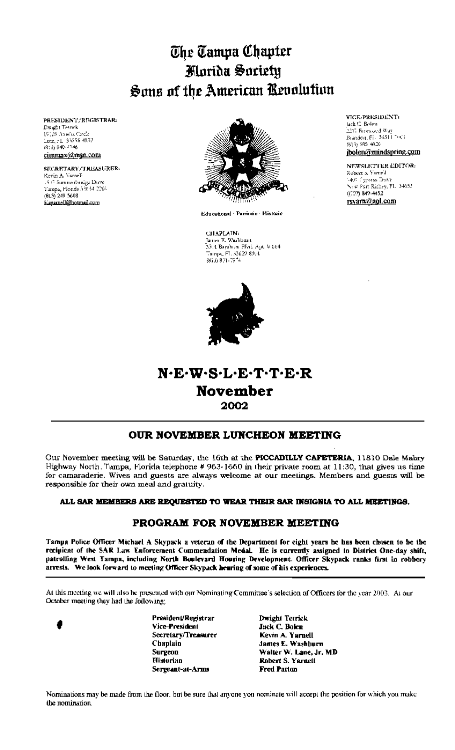# The Tampa Chapter Marida Society Sons of the American Revolution

PRESIDENT/REGISTRAR: Dwight Teleck 19126 America Cardo Ly Learn and Microsoft<br>Lutz, FL - 30556-4939<br>(813) 949-4746 cimmax@m5n.com

## **SECRETARY/TRICASURER:** Revin A. Ysroel-. 5.6 Summerbridge Dave<br>Tunpa, Florida 53634-2266

 $(013)$  249 5608 Kayamell@hormail.com



Educational Parrintin Historic

CHAPLAIN: James E. Washburn -<br>3501 Bayshore Blvd. Agu 4 604<br>Татара, FL 53622 8201 813) 831-7974

VICE-PRESIDENT: lack C. Bolen. .<br>2317 Bercauced Way Brandon, Fl. 33511 7001 (813) 585-4026 jbolen@mindspring.com

**NEWSLETTER EDITOR:** Robert a Variel 1400 Oypress Drive New Part Richey, FL 34652  $(727) 849 - 4452$ rsyam@aol.com

## N.E.W.S.L.E.T.T.E.R **November** 2002

## OUR NOVEMBER LUNCHEON MEETING

Our November meeting will be Saturday, the 16th at the PICCADILLY CAFETERIA, 11810 Dale Mabry Highway North. Tampa, Florida telephone # 963-1660 in their private room at 11:30, that gives us time for camaraderie. Wives and guests are always welcome at our meetings. Members and guests will be responsible for their own meal and gratuity.

## ALL SAR MEMBERS ARE REQUESTED TO WEAR THEIR SAR INSIGNIA TO ALL MEETINGS.

## PROGRAM FOR NOVEMBER MEETING

Tampa Police Officer Michael A Skypack a veterun of the Department for eight years be has been chosen to be the recipient of the SAR Law Enforcement Commendation Medal. He is currently assigned to District One-day shift, patrolling West Tampa, including North Boulevard Housing Development. Officer Skypack ranks first in robbery arrests. We look forward to meeting Officer Skypack hearing of some of his experiences.

At this meeting we will also be presented with our Nominating Committee's selection of Officers for the year 2003. At our October meeting they had the following:

President/Registrar Vice-President Secretary/Treasurer Chaplain **Surgeon** Historian Sergeant-at-Arms

Dwight Terrick Jack C. Bolen Kevin A. Yarnell James E. Washburn Walter W. Lane, Jr. MD Robert S. Yarnell **Fred Patton** 

Nominations may be made from the floor, but be sure that anyone you nominate will accept the position for which you make the nomination.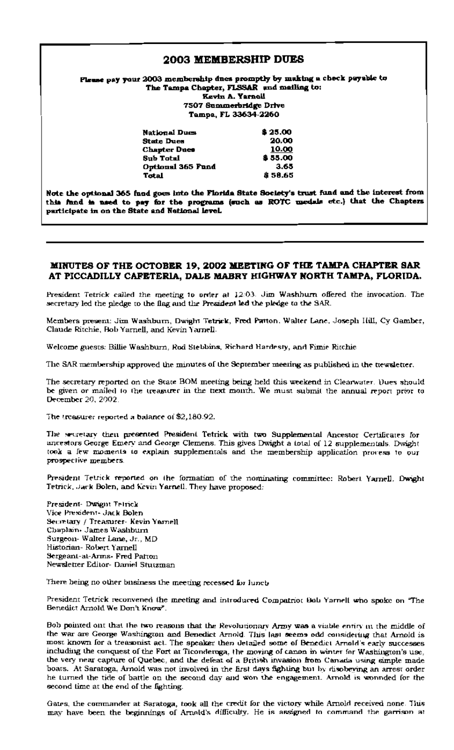## **2003 MEMBERSHIP DUES**

#### Please pay your 2003 membership dues promptly by making a check payable to The Tampa Chapter, FLSSAR and mailing to: **Kevin A. Yarnell** 7507 Summerbridge Drive Tampa, FL 33634-2260

| <b>National Dues</b> | \$25.00 |
|----------------------|---------|
| <b>State Dues</b>    | 20.00   |
| <b>Chapter Dues</b>  | 10.00   |
| <b>Sub Total</b>     | \$55.00 |
| Optional 365 Fund    | 3.65    |
| Total                | \$58.65 |

Note the optional 365 fand goes into the Florida State Society's trust fund and the interest from this fund is used to pay for the programs (such as ROTC medals etc.) that the Chapters participate in on the State and National level.

## MINUTES OF THE OCTOBER 19, 2002 MEETING OF THE TAMPA CHAPTER SAR AT PICCADILLY CAFETERIA, DALE MABRY HIGHWAY NORTH TAMPA, FLORIDA.

President Tetrick called the meeting to order at 12:03. Jim Washburn offered the invocation. The secretary led the pledge to the flag and the President led the pledge to the SAR.

Members present: Jim Washburn, Dwight Tetrick, Fred Patton. Walter Lane, Joseph Hill, Cy Gamber, Claude Ritchie, Bob Yarnell, and Kevin Yarnell.

Welcome guests: Billie Washburn, Rod Stebbins, Richard Hardesty, and Fimie Ritchie

The SAR membership approved the minutes of the September meeting as published in the trewsletter.

The secretary reported on the State BOM meeting being held this weekend in Clearwater. Dues should be given or mailed to the treasurer in the trext month. We must submit the annual report prior to December 20, 2002.

The treasurer reported a balance of \$2,180.92.

The secretary then presented President Tetrick with two Supplemental Ancestor Certificates for ancestors George Emery and George Clemens. This gives Dwight a total of 12 supplementals. Dwight took a lew moments to explain supplementals and the membership application process to our prospective members.

President Tetrick reported on the formation of the nominating committee: Robert Yarnell, Dwight Tetrick, Jack Bolen, and Kevin Yarnell. They have proposed:

President- Dwight Telrick Vice President- Jack Bolen Secretary / Treasurer- Kevin Yarnell Chaplain- James Washburn Surgeon-Walter Lane, Jr., MD Historian-Robert Yarnell Sergeant-at-Arms. Fred Patton Newsletter Editor- Daniel Stutzman

There being no other business the meeting recessed for lunct.

President Tetrick reconvened the meeting and introduced Compatriot Bob Yarnell who spoke on "The Benedict Arnold We Don't Know".

Bob pointed ont that the two reasons that the Revolutionary Army was a viable entiry in the middle of the war are George Washington and Benedict Arnold. This last seems odd considering that Arnold is most known for a treasonist act. The speaker then detailed some of Benedict Arnold's early successes including the conquest of the Fort at Ticonderoga, the moving of canon in winter for Washington's use, the very near capture of Quebec, and the defeat of a British invasion from Canada using simple made boats. At Saratoga, Arnold was not involved in the first days fighting but by disobeying an arrest order he turned the tide of battle on the second day and won the engagement. Arnold is wonnded for the second time at the end of the fighting.

Gates, the commander at Saratoga, took all the credit for the victory while Arnold received none. This may have been the beginnings of Armid's difficulty. He is assigned to command the garrison at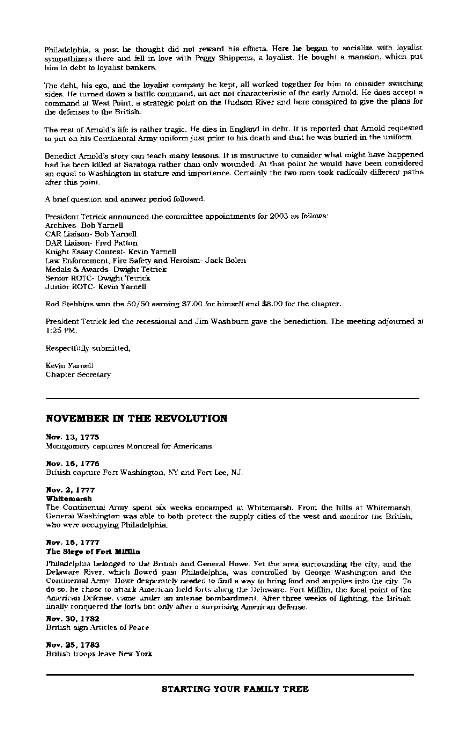Philadelphia, a post he thought did not reward his efforts. Here he began to socialize with loyalist. sympathizers there and fell in love with Peggy Shippens, a loyalist. He bought a mansion, which put him in debt to loyalist bankers.

The deht, his ego, and the loyalist company he kept, all worked together for him to consider switching sides. He turned down a battle command, an act not characteristic of the early Arnold. He does accept a command at West Point, a strategic point on the Hudson River and here conspired to give the plans for the defenses to the British.

The rest of Arnold's life is rather tragic. He dies in England in debt. It is reported that Arnold requested to put on his Continental Army uniform just prior to his death and that he was buried in the uniform.

Benedict Arnold's story can teach many lessons. It is instructive to consider what might have happened had he been killed at Saratoga rather than only wounded. At that point he would have been considered an equal to Washington in stature and importance. Certainly the two men took radically different paths after this point.

A brief question and answer period followed.

President Tetrick announced the committee appointments for 2005 as follows: Archives- Bob Yarnell CAR Liaison- Bob Yarnell DAR Liaison-Fred Patton Knight Essay Contest- Kevin Yarnell Law Enforcement, Fire Safety and Heroism- Jack Bolen Medals & Awards- Dwight Tetrick Senior ROTC- Dwight Tetrick Junior ROTC- Kevin Yarnell

Rod Stehbins won the 50/50 earning \$7.00 for himself and \$8.00 for the chapter.

President Tetrick led the recessional and Jim Washburn gave the benediction. The meeting adjourned at  $1:25$  PM.

Respectfully submitted,

Kevin Yarnell Chapter Secretary

## **NOVEMBER IN THE REVOLUTION**

## Nov. 13, 1775

Montgomery captures Montreal for Americans.

## Nov. 16, 1776

British capture Fort Washington, NY and Fort Lee, NJ.

## Nov. 2, 1777

#### **Whitemarsh**

The Continental Army spent six weeks encamped at Whitemarsh. From the hills at Whitemarsh, General Washington was able to both protect the supply cities of the west and monitor the British, who were occupying Philadelphia.

#### Nov. 15, 1777 The Slege of Fort Mifflin

Philadelphia belonged to the British and General Howe. Yet the area surrounding the city, and the Delaware River, which flowed past Philadelphia, was controlled by George Washington and the Continental Army. Howe desperately needed to find a way to bring lood and supplies into the city. To do so, he chose to attack American-held forts along the Delaware. Fort Mifflin, the focal point of the American Defense, came under an intense bombardment. After three weeks of fighting, the British finally conquered the forts ont only after a surprising American defense.

#### Nov. 30, 1782 **British sign Articles of Peace**

Nov. 25, 1783 British troops leave New York